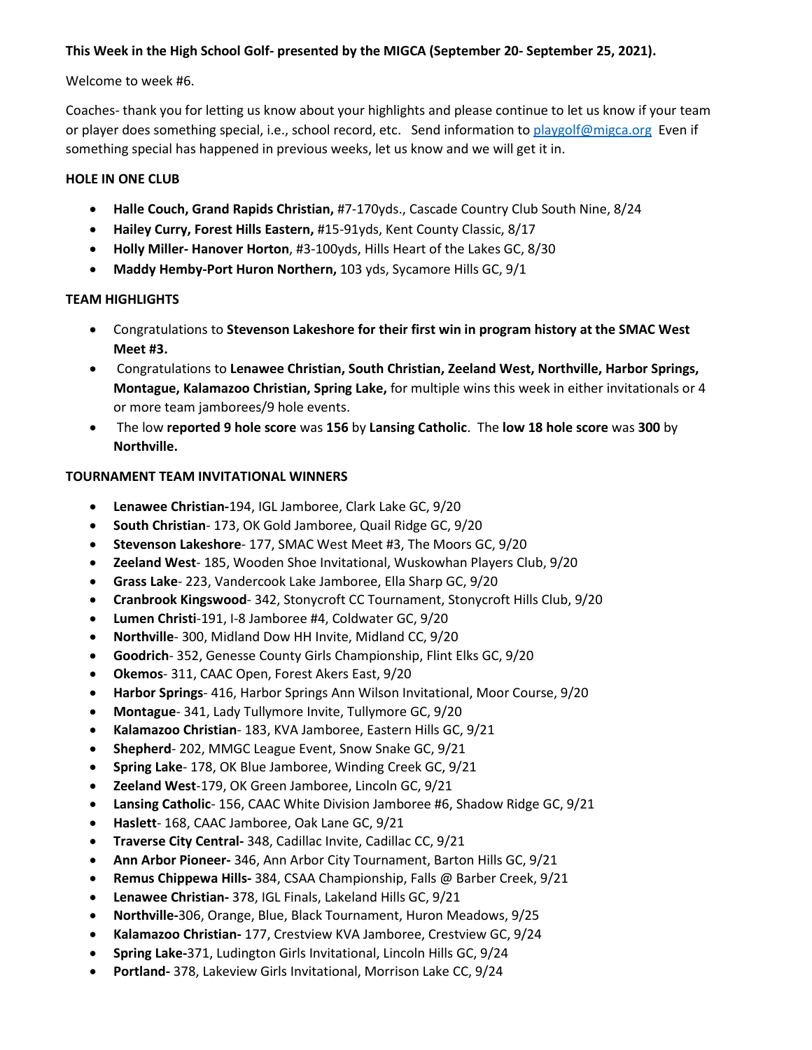### **This Week in the High School Golf- presented by the MIGCA (September 20- September 25, 2021).**

#### Welcome to week #6.

Coaches- thank you for letting us know about your highlights and please continue to let us know if your team or player does something special, i.e., school record, etc. Send information to [playgolf@migca.org](mailto:playgolf@migca.org) Even if something special has happened in previous weeks, let us know and we will get it in.

#### **HOLE IN ONE CLUB**

- **Halle Couch, Grand Rapids Christian,** #7-170yds., Cascade Country Club South Nine, 8/24
- **Hailey Curry, Forest Hills Eastern,** #15-91yds, Kent County Classic, 8/17
- **Holly Miller- Hanover Horton**, #3-100yds, Hills Heart of the Lakes GC, 8/30
- **Maddy Hemby-Port Huron Northern,** 103 yds, Sycamore Hills GC, 9/1

## **TEAM HIGHLIGHTS**

- Congratulations to **Stevenson Lakeshore for their first win in program history at the SMAC West Meet #3.**
- Congratulations to **Lenawee Christian, South Christian, Zeeland West, Northville, Harbor Springs, Montague, Kalamazoo Christian, Spring Lake,** for multiple wins this week in either invitationals or 4 or more team jamborees/9 hole events.
- The low **reported 9 hole score** was **156** by **Lansing Catholic**. The **low 18 hole score** was **300** by **Northville.**

#### **TOURNAMENT TEAM INVITATIONAL WINNERS**

- **Lenawee Christian-**194, IGL Jamboree, Clark Lake GC, 9/20
- **South Christian** 173, OK Gold Jamboree, Quail Ridge GC, 9/20
- **Stevenson Lakeshore** 177, SMAC West Meet #3, The Moors GC, 9/20
- **Zeeland West** 185, Wooden Shoe Invitational, Wuskowhan Players Club, 9/20
- **Grass Lake** 223, Vandercook Lake Jamboree, Ella Sharp GC, 9/20
- **Cranbrook Kingswood** 342, Stonycroft CC Tournament, Stonycroft Hills Club, 9/20
- **Lumen Christi**-191, I-8 Jamboree #4, Coldwater GC, 9/20
- **Northville** 300, Midland Dow HH Invite, Midland CC, 9/20
- **Goodrich** 352, Genesse County Girls Championship, Flint Elks GC, 9/20
- **Okemos** 311, CAAC Open, Forest Akers East, 9/20
- **Harbor Springs** 416, Harbor Springs Ann Wilson Invitational, Moor Course, 9/20
- **Montague** 341, Lady Tullymore Invite, Tullymore GC, 9/20
- **Kalamazoo Christian** 183, KVA Jamboree, Eastern Hills GC, 9/21
- **Shepherd** 202, MMGC League Event, Snow Snake GC, 9/21
- **Spring Lake** 178, OK Blue Jamboree, Winding Creek GC, 9/21
- **Zeeland West**-179, OK Green Jamboree, Lincoln GC, 9/21
- **Lansing Catholic** 156, CAAC White Division Jamboree #6, Shadow Ridge GC, 9/21
- **Haslett** 168, CAAC Jamboree, Oak Lane GC, 9/21
- **Traverse City Central-** 348, Cadillac Invite, Cadillac CC, 9/21
- **Ann Arbor Pioneer-** 346, Ann Arbor City Tournament, Barton Hills GC, 9/21
- **Remus Chippewa Hills-** 384, CSAA Championship, Falls @ Barber Creek, 9/21
- **Lenawee Christian-** 378, IGL Finals, Lakeland Hills GC, 9/21
- **Northville-**306, Orange, Blue, Black Tournament, Huron Meadows, 9/25
- **Kalamazoo Christian-** 177, Crestview KVA Jamboree, Crestview GC, 9/24
- **Spring Lake-**371, Ludington Girls Invitational, Lincoln Hills GC, 9/24
- **Portland-** 378, Lakeview Girls Invitational, Morrison Lake CC, 9/24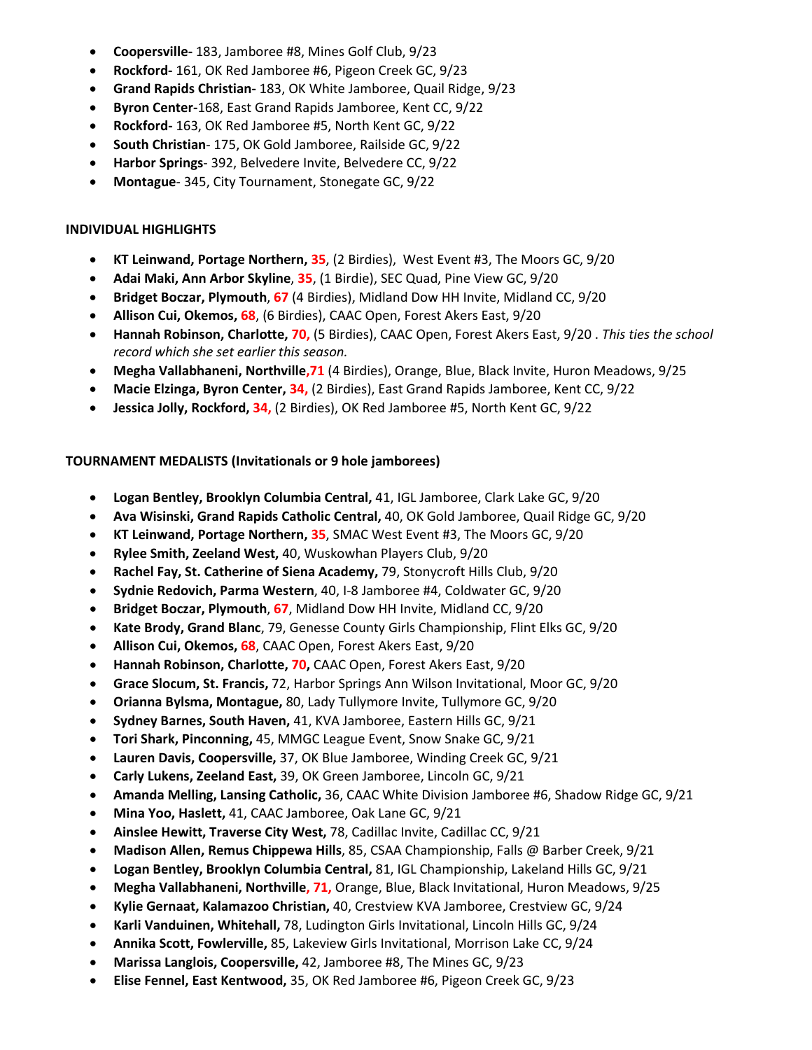- **Coopersville-** 183, Jamboree #8, Mines Golf Club, 9/23
- **Rockford-** 161, OK Red Jamboree #6, Pigeon Creek GC, 9/23
- **Grand Rapids Christian-** 183, OK White Jamboree, Quail Ridge, 9/23
- **Byron Center-**168, East Grand Rapids Jamboree, Kent CC, 9/22
- **Rockford-** 163, OK Red Jamboree #5, North Kent GC, 9/22
- **South Christian** 175, OK Gold Jamboree, Railside GC, 9/22
- **Harbor Springs** 392, Belvedere Invite, Belvedere CC, 9/22
- **Montague** 345, City Tournament, Stonegate GC, 9/22

## **INDIVIDUAL HIGHLIGHTS**

- **KT Leinwand, Portage Northern, 35**, (2 Birdies), West Event #3, The Moors GC, 9/20
- **Adai Maki, Ann Arbor Skyline**, **35**, (1 Birdie), SEC Quad, Pine View GC, 9/20
- **Bridget Boczar, Plymouth**, **67** (4 Birdies), Midland Dow HH Invite, Midland CC, 9/20
- **Allison Cui, Okemos, 68**, (6 Birdies), CAAC Open, Forest Akers East, 9/20
- **Hannah Robinson, Charlotte, 70,** (5 Birdies), CAAC Open, Forest Akers East, 9/20 . *This ties the school record which she set earlier this season.*
- **Megha Vallabhaneni, Northville,71** (4 Birdies), Orange, Blue, Black Invite, Huron Meadows, 9/25
- **Macie Elzinga, Byron Center, 34,** (2 Birdies), East Grand Rapids Jamboree, Kent CC, 9/22
- **Jessica Jolly, Rockford, 34,** (2 Birdies), OK Red Jamboree #5, North Kent GC, 9/22

# **TOURNAMENT MEDALISTS (Invitationals or 9 hole jamborees)**

- **Logan Bentley, Brooklyn Columbia Central,** 41, IGL Jamboree, Clark Lake GC, 9/20
- **Ava Wisinski, Grand Rapids Catholic Central,** 40, OK Gold Jamboree, Quail Ridge GC, 9/20
- **KT Leinwand, Portage Northern, 35**, SMAC West Event #3, The Moors GC, 9/20
- **Rylee Smith, Zeeland West,** 40, Wuskowhan Players Club, 9/20
- **Rachel Fay, St. Catherine of Siena Academy,** 79, Stonycroft Hills Club, 9/20
- **Sydnie Redovich, Parma Western**, 40, I-8 Jamboree #4, Coldwater GC, 9/20
- **Bridget Boczar, Plymouth**, **67**, Midland Dow HH Invite, Midland CC, 9/20
- **Kate Brody, Grand Blanc**, 79, Genesse County Girls Championship, Flint Elks GC, 9/20
- **Allison Cui, Okemos, 68**, CAAC Open, Forest Akers East, 9/20
- **Hannah Robinson, Charlotte, 70,** CAAC Open, Forest Akers East, 9/20
- **Grace Slocum, St. Francis,** 72, Harbor Springs Ann Wilson Invitational, Moor GC, 9/20
- **Orianna Bylsma, Montague,** 80, Lady Tullymore Invite, Tullymore GC, 9/20
- **Sydney Barnes, South Haven,** 41, KVA Jamboree, Eastern Hills GC, 9/21
- **Tori Shark, Pinconning,** 45, MMGC League Event, Snow Snake GC, 9/21
- **Lauren Davis, Coopersville,** 37, OK Blue Jamboree, Winding Creek GC, 9/21
- **Carly Lukens, Zeeland East,** 39, OK Green Jamboree, Lincoln GC, 9/21
- **Amanda Melling, Lansing Catholic,** 36, CAAC White Division Jamboree #6, Shadow Ridge GC, 9/21
- **Mina Yoo, Haslett,** 41, CAAC Jamboree, Oak Lane GC, 9/21
- **Ainslee Hewitt, Traverse City West,** 78, Cadillac Invite, Cadillac CC, 9/21
- **Madison Allen, Remus Chippewa Hills**, 85, CSAA Championship, Falls @ Barber Creek, 9/21
- **Logan Bentley, Brooklyn Columbia Central,** 81, IGL Championship, Lakeland Hills GC, 9/21
- **Megha Vallabhaneni, Northville, 71,** Orange, Blue, Black Invitational, Huron Meadows, 9/25
- **Kylie Gernaat, Kalamazoo Christian,** 40, Crestview KVA Jamboree, Crestview GC, 9/24
- **Karli Vanduinen, Whitehall,** 78, Ludington Girls Invitational, Lincoln Hills GC, 9/24
- **Annika Scott, Fowlerville,** 85, Lakeview Girls Invitational, Morrison Lake CC, 9/24
- **Marissa Langlois, Coopersville,** 42, Jamboree #8, The Mines GC, 9/23
- **Elise Fennel, East Kentwood,** 35, OK Red Jamboree #6, Pigeon Creek GC, 9/23